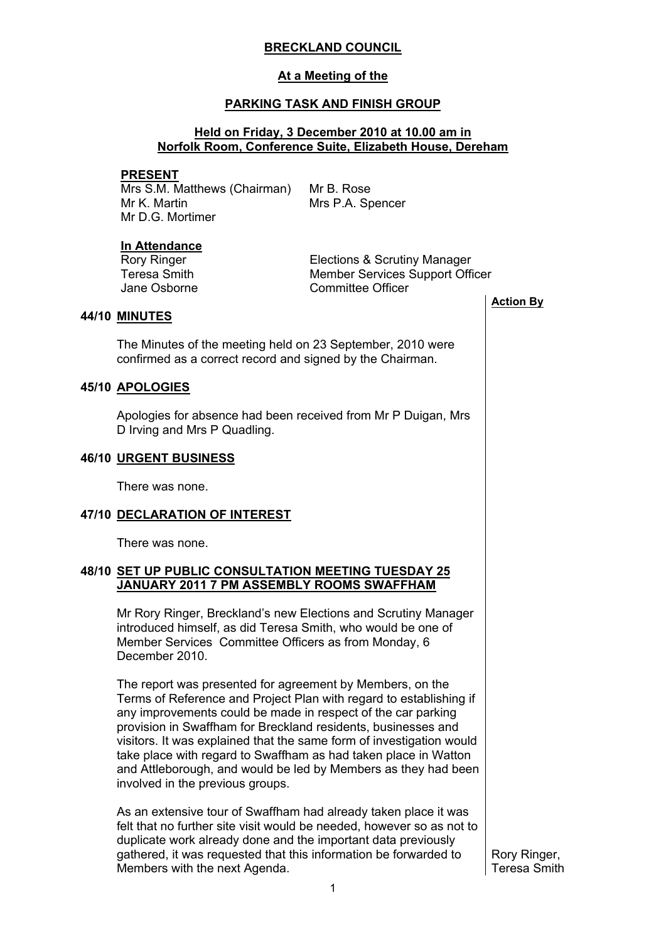# **BRECKLAND COUNCIL**

## **At a Meeting of the**

# **PARKING TASK AND FINISH GROUP**

## **Held on Friday, 3 December 2010 at 10.00 am in Norfolk Room, Conference Suite, Elizabeth House, Dereham**

#### **PRESENT**

Mrs S.M. Matthews (Chairman) Mr K. Martin Mr D.G. Mortimer

Mr B. Rose Mrs P.A. Spencer

#### **In Attendance**

Rory Ringer Teresa Smith Jane Osborne Elections & Scrutiny Manager Member Services Support Officer Committee Officer **Action By**

#### **44/10 MINUTES**

The Minutes of the meeting held on 23 September, 2010 were confirmed as a correct record and signed by the Chairman.

# **45/10 APOLOGIES**

Apologies for absence had been received from Mr P Duigan, Mrs D Irving and Mrs P Quadling.

### **46/10 URGENT BUSINESS**

There was none.

#### **47/10 DECLARATION OF INTEREST**

There was none.

# **48/10 SET UP PUBLIC CONSULTATION MEETING TUESDAY 25 JANUARY 2011 7 PM ASSEMBLY ROOMS SWAFFHAM**

Mr Rory Ringer, Breckland's new Elections and Scrutiny Manager introduced himself, as did Teresa Smith, who would be one of Member Services Committee Officers as from Monday, 6 December 2010.

The report was presented for agreement by Members, on the Terms of Reference and Project Plan with regard to establishing if any improvements could be made in respect of the car parking provision in Swaffham for Breckland residents, businesses and visitors. It was explained that the same form of investigation would take place with regard to Swaffham as had taken place in Watton and Attleborough, and would be led by Members as they had been involved in the previous groups.

As an extensive tour of Swaffham had already taken place it was felt that no further site visit would be needed, however so as not to duplicate work already done and the important data previously gathered, it was requested that this information be forwarded to Members with the next Agenda.

Rory Ringer, Teresa Smith